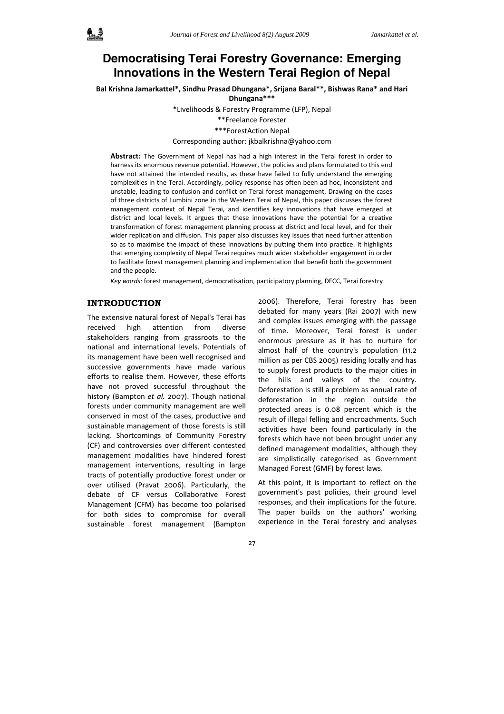# **Democratising Terai Forestry Governance: Emerging Innovations in the Western Terai Region of Nepal**

**Bal Krishna Jamarkattel\*, Sindhu Prasad Dhungana\*, Srijana Baral\*\*, Bishwas Rana\* and Hari Dhungana\*\*\***

\*Livelihoods & Forestry Programme (LFP), Nepal

\*\*Freelance Forester

\*\*\*ForestAction Nepal

#### Corresponding author: jkbalkrishna@yahoo.com

**Abstract:** The Government of Nepal has had a high interest in the Terai forest in order to harness its enormous revenue potential. However, the policies and plans formulated to this end have not attained the intended results, as these have failed to fully understand the emerging complexities in the Terai. Accordingly, policy response has often been ad hoc, inconsistent and unstable, leading to confusion and conflict on Terai forest management. Drawing on the cases of three districts of Lumbini zone in the Western Terai of Nepal, this paper discusses the forest management context of Nepal Terai, and identifies key innovations that have emerged at district and local levels. It argues that these innovations have the potential for a creative transformation of forest management planning process at district and local level, and for their wider replication and diffusion. This paper also discusses key issues that need further attention so as to maximise the impact of these innovations by putting them into practice. It highlights that emerging complexity of Nepal Terai requires much wider stakeholder engagement in order to facilitate forest management planning and implementation that benefit both the government and the people.

*Key words:* forest management, democratisation, participatory planning, DFCC, Terai forestry

# **INTRODUCTION**

The extensive natural forest of Nepal's Terai has received high attention from diverse stakeholders ranging from grassroots to the national and international levels. Potentials of its management have been well recognised and successive governments have made various efforts to realise them. However, these efforts have not proved successful throughout the history (Bampton *et al.* 2007). Though national forests under community management are well conserved in most of the cases, productive and sustainable management of those forests is still lacking. Shortcomings of Community Forestry (CF) and controversies over different contested management modalities have hindered forest management interventions, resulting in large tracts of potentially productive forest under or over utilised (Pravat 2006). Particularly, the debate of CF versus Collaborative Forest Management (CFM) has become too polarised for both sides to compromise for overall sustainable forest management (Bampton

2006). Therefore, Terai forestry has been debated for many years (Rai 2007) with new and complex issues emerging with the passage of time. Moreover, Terai forest is under enormous pressure as it has to nurture for almost half of the country's population (11.2 million as per CBS 2005) residing locally and has to supply forest products to the major cities in the hills and valleys of the country. Deforestation is still a problem as annual rate of deforestation in the region outside the protected areas is 0.08 percent which is the result of illegal felling and encroachments. Such activities have been found particularly in the forests which have not been brought under any defined management modalities, although they are simplistically categorised as Government Managed Forest (GMF) by forest laws.

At this point, it is important to reflect on the government's past policies, their ground level responses, and their implications for the future. The paper builds on the authors' working experience in the Terai forestry and analyses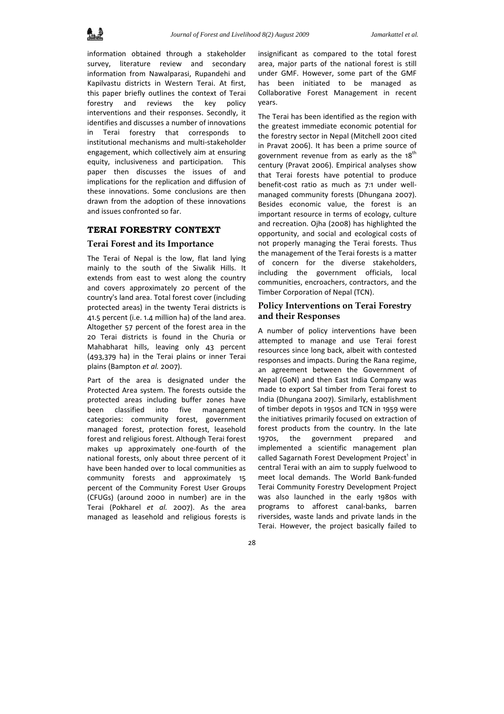information obtained through a stakeholder survey, literature review and secondary information from Nawalparasi, Rupandehi and Kapilvastu districts in Western Terai. At first, this paper briefly outlines the context of Terai forestry and reviews the key policy interventions and their responses. Secondly, it identifies and discusses a number of innovations in Terai forestry that corresponds to institutional mechanisms and multi‐stakeholder engagement, which collectively aim at ensuring equity, inclusiveness and participation. This paper then discusses the issues of and implications for the replication and diffusion of these innovations. Some conclusions are then drawn from the adoption of these innovations and issues confronted so far.

## **TERAI FORESTRY CONTEXT**

## **Terai Forest and its Importance**

The Terai of Nepal is the low, flat land lying mainly to the south of the Siwalik Hills. It extends from east to west along the country and covers approximately 20 percent of the country's land area. Total forest cover (including protected areas) in the twenty Terai districts is 41.5 percent (i.e. 1.4 million ha) of the land area. Altogether 57 percent of the forest area in the 20 Terai districts is found in the Churia or Mahabharat hills, leaving only 43 percent (493,379 ha) in the Terai plains or inner Terai plains (Bampton *et al.* 2007).

Part of the area is designated under the Protected Area system. The forests outside the protected areas including buffer zones have been classified into five management categories: community forest, government managed forest, protection forest, leasehold forest and religious forest. Although Terai forest makes up approximately one‐fourth of the national forests, only about three percent of it have been handed over to local communities as community forests and approximately 15 percent of the Community Forest User Groups (CFUGs) (around 2000 in number) are in the Terai (Pokharel *et al.* 2007). As the area managed as leasehold and religious forests is

insignificant as compared to the total forest area, major parts of the national forest is still under GMF. However, some part of the GMF has been initiated to be managed as Collaborative Forest Management in recent years.

The Terai has been identified as the region with the greatest immediate economic potential for the forestry sector in Nepal (Mitchell 2001 cited in Pravat 2006). It has been a prime source of government revenue from as early as the  $18<sup>th</sup>$ century (Pravat 2006). Empirical analyses show that Terai forests have potential to produce benefit-cost ratio as much as 7:1 under wellmanaged community forests (Dhungana 2007). Besides economic value, the forest is an important resource in terms of ecology, culture and recreation. Ojha (2008) has highlighted the opportunity, and social and ecological costs of not properly managing the Terai forests. Thus the management of the Terai forests is a matter of concern for the diverse stakeholders, including the government officials, local communities, encroachers, contractors, and the Timber Corporation of Nepal (TCN).

# **Policy Interventions on Terai Forestry and their Responses**

A number of policy interventions have been attempted to manage and use Terai forest resources since long back, albeit with contested responses and impacts. During the Rana regime, an agreement between the Government of Nepal (GoN) and then East India Company was made to export Sal timber from Terai forest to India (Dhungana 2007). Similarly, establishment of timber depots in 1950s and TCN in 1959 were the initiatives primarily focused on extraction of forest products from the country. In the late 1970s, the government prepared and implemented a scientific management plan called Sagarnath Forest Development Project<sup>1</sup> in central Terai with an aim to supply fuelwood to meet local demands. The World Bank‐funded Terai Community Forestry Development Project was also launched in the early 1980s with programs to afforest canal‐banks, barren riversides, waste lands and private lands in the Terai. However, the project basically failed to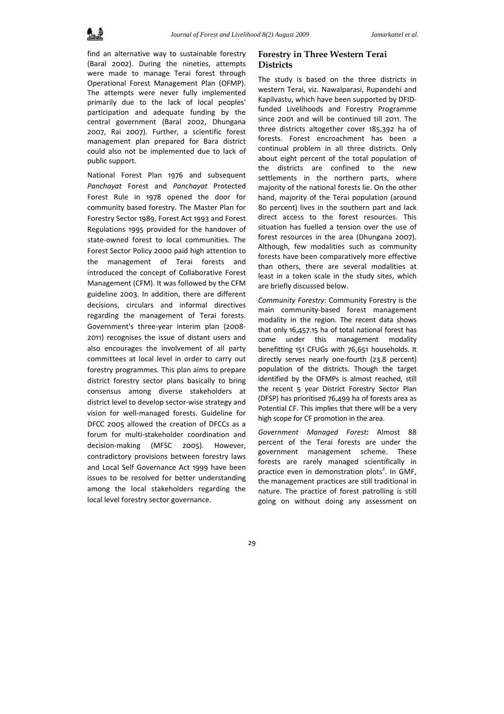find an alternative way to sustainable forestry (Baral 2002). During the nineties, attempts were made to manage Terai forest through Operational Forest Management Plan (OFMP). The attempts were never fully implemented primarily due to the lack of local peoples' participation and adequate funding by the central government (Baral 2002, Dhungana 2007, Rai 2007). Further, a scientific forest management plan prepared for Bara district could also not be implemented due to lack of public support.

National Forest Plan 1976 and subsequent *Panchayat* Forest and *Panchayat* Protected Forest Rule in 1978 opened the door for community based forestry. The Master Plan for Forestry Sector 1989, Forest Act 1993 and Forest Regulations 1995 provided for the handover of state‐owned forest to local communities. The Forest Sector Policy 2000 paid high attention to the management of Terai forests and introduced the concept of Collaborative Forest Management (CFM). It was followed by the CFM guideline 2003. In addition, there are different decisions, circulars and informal directives regarding the management of Terai forests. Government's three‐year interim plan (2008‐ 2011) recognises the issue of distant users and also encourages the involvement of all party committees at local level in order to carry out forestry programmes. This plan aims to prepare district forestry sector plans basically to bring consensus among diverse stakeholders at district level to develop sector‐wise strategy and vision for well‐managed forests. Guideline for DFCC 2005 allowed the creation of DFCCs as a forum for multi‐stakeholder coordination and decision‐making (MFSC 2005). However, contradictory provisions between forestry laws and Local Self Governance Act 1999 have been issues to be resolved for better understanding among the local stakeholders regarding the local level forestry sector governance.

## **Forestry in Three Western Terai Districts**

The study is based on the three districts in western Terai, viz. Nawalparasi, Rupandehi and Kapilvastu, which have been supported by DFID‐ funded Livelihoods and Forestry Programme since 2001 and will be continued till 2011. The three districts altogether cover 185,392 ha of forests. Forest encroachment has been a continual problem in all three districts. Only about eight percent of the total population of the districts are confined to the new settlements in the northern parts, where majority of the national forests lie. On the other hand, majority of the Terai population (around 80 percent) lives in the southern part and lack direct access to the forest resources. This situation has fuelled a tension over the use of forest resources in the area (Dhungana 2007). Although, few modalities such as community forests have been comparatively more effective than others, there are several modalities at least in a token scale in the study sites, which are briefly discussed below.

*Community Forestry*: Community Forestry is the main community‐based forest management modality in the region. The recent data shows that only 16,457.15 ha of total national forest has come under this management modality benefitting 151 CFUGs with 76,651 households. It directly serves nearly one‐fourth (23.8 percent) population of the districts. Though the target identified by the OFMPs is almost reached, still the recent 5 year District Forestry Sector Plan (DFSP) has prioritised 76,499 ha of forests area as Potential CF. This implies that there will be a very high scope for CF promotion in the area.

*Government Managed Forest***:** Almost 88 percent of the Terai forests are under the government management scheme. These forests are rarely managed scientifically in practice even in demonstration plots<sup>2</sup>. In GMF, the management practices are still traditional in nature. The practice of forest patrolling is still going on without doing any assessment on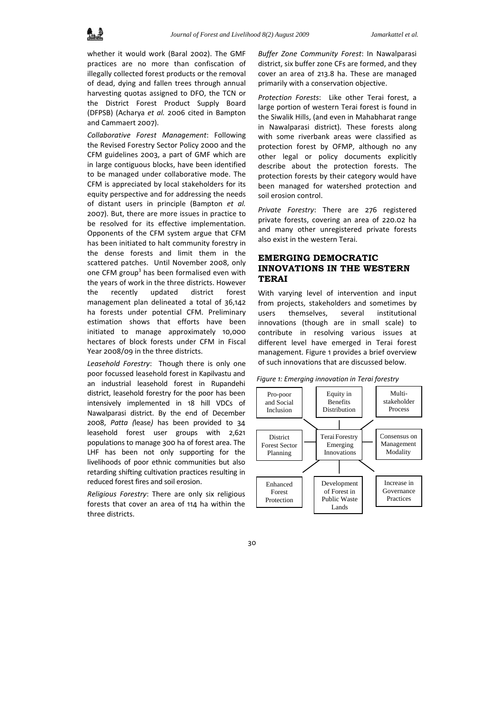

whether it would work (Baral 2002). The GMF practices are no more than confiscation of illegally collected forest products or the removal of dead, dying and fallen trees through annual harvesting quotas assigned to DFO, the TCN or the District Forest Product Supply Board (DFPSB) (Acharya *et al.* 2006 cited in Bampton and Cammaert 2007).

*Collaborative Forest Management*: Following the Revised Forestry Sector Policy 2000 and the CFM guidelines 2003, a part of GMF which are in large contiguous blocks, have been identified to be managed under collaborative mode. The CFM is appreciated by local stakeholders for its equity perspective and for addressing the needs of distant users in principle (Bampton *et al.* 2007). But, there are more issues in practice to be resolved for its effective implementation. Opponents of the CFM system argue that CFM has been initiated to halt community forestry in the dense forests and limit them in the scattered patches. Until November 2008, only one CFM group<sup>3</sup> has been formalised even with the years of work in the three districts. However the recently updated district forest management plan delineated a total of 36,142 ha forests under potential CFM. Preliminary estimation shows that efforts have been initiated to manage approximately 10,000 hectares of block forests under CFM in Fiscal Year 2008/09 in the three districts.

*Leasehold Forestry*: Though there is only one poor focussed leasehold forest in Kapilvastu and an industrial leasehold forest in Rupandehi district, leasehold forestry for the poor has been intensively implemented in 18 hill VDCs of Nawalparasi district. By the end of December 2008, *Patta (*lease*)* has been provided to 34 leasehold forest user groups with 2,621 populations to manage 300 ha of forest area. The LHF has been not only supporting for the livelihoods of poor ethnic communities but also retarding shifting cultivation practices resulting in reduced forest fires and soil erosion.

*Religious Forestry*: There are only six religious forests that cover an area of 114 ha within the three districts.

*Buffer Zone Community Forest*: In Nawalparasi district, six buffer zone CFs are formed, and they cover an area of 213.8 ha. These are managed primarily with a conservation objective.

*Protection Forests*: Like other Terai forest, a large portion of western Terai forest is found in the Siwalik Hills, (and even in Mahabharat range in Nawalparasi district). These forests along with some riverbank areas were classified as protection forest by OFMP, although no any other legal or policy documents explicitly describe about the protection forests. The protection forests by their category would have been managed for watershed protection and soil erosion control.

*Private Forestry*: There are 276 registered private forests, covering an area of 220.02 ha and many other unregistered private forests also exist in the western Terai.

# **EMERGING DEMOCRATIC INNOVATIONS IN THE WESTERN TERAI**

With varying level of intervention and input from projects, stakeholders and sometimes by users themselves, several institutional innovations (though are in small scale) to contribute in resolving various issues at different level have emerged in Terai forest management. Figure 1 provides a brief overview of such innovations that are discussed below.



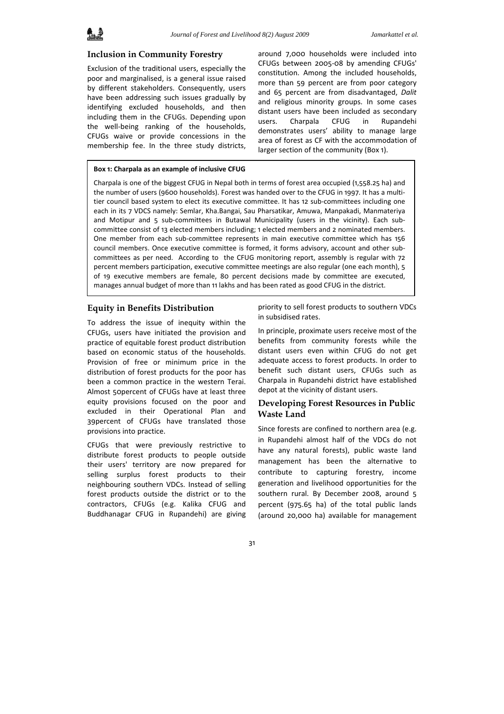## **Inclusion in Community Forestry**

Exclusion of the traditional users, especially the poor and marginalised, is a general issue raised by different stakeholders. Consequently, users have been addressing such issues gradually by identifying excluded households, and then including them in the CFUGs. Depending upon the well‐being ranking of the households, CFUGs waive or provide concessions in the membership fee. In the three study districts,

around 7,000 households were included into CFUGs between 2005‐08 by amending CFUGs' constitution. Among the included households, more than 59 percent are from poor category and 65 percent are from disadvantaged, *Dalit* and religious minority groups. In some cases distant users have been included as secondary users. Charpala CFUG in Rupandehi demonstrates users' ability to manage large area of forest as CF with the accommodation of larger section of the community (Box 1).

#### **Box 1: Charpala as an example of inclusive CFUG**

Charpala is one of the biggest CFUG in Nepal both in terms of forest area occupied (1,558.25 ha) and the number of users (9600 households). Forest was handed over to the CFUG in 1997. It has a multitier council based system to elect its executive committee. It has 12 sub‐committees including one each in its 7 VDCS namely: Semlar, Kha.Bangai, Sau Pharsatikar, Amuwa, Manpakadi, Manmateriya and Motipur and 5 sub-committees in Butawal Municipality (users in the vicinity). Each subcommittee consist of 13 elected members including; 1 elected members and 2 nominated members. One member from each sub‐committee represents in main executive committee which has 156 council members. Once executive committee is formed, it forms advisory, account and other subcommittees as per need. According to the CFUG monitoring report, assembly is regular with 72 percent members participation, executive committee meetings are also regular (one each month), 5 of 19 executive members are female, 80 percent decisions made by committee are executed, manages annual budget of more than 11 lakhs and has been rated as good CFUG in the district.

#### **Equity in Benefits Distribution**

To address the issue of inequity within the CFUGs, users have initiated the provision and practice of equitable forest product distribution based on economic status of the households. Provision of free or minimum price in the distribution of forest products for the poor has been a common practice in the western Terai. Almost 50percent of CFUGs have at least three equity provisions focused on the poor and excluded in their Operational Plan and 39percent of CFUGs have translated those provisions into practice.

CFUGs that were previously restrictive to distribute forest products to people outside their users' territory are now prepared for selling surplus forest products to their neighbouring southern VDCs. Instead of selling forest products outside the district or to the contractors, CFUGs (e.g. Kalika CFUG and Buddhanagar CFUG in Rupandehi) are giving

priority to sell forest products to southern VDCs in subsidised rates.

In principle, proximate users receive most of the benefits from community forests while the distant users even within CFUG do not get adequate access to forest products. In order to benefit such distant users, CFUGs such as Charpala in Rupandehi district have established depot at the vicinity of distant users.

## **Developing Forest Resources in Public Waste Land**

Since forests are confined to northern area (e.g. in Rupandehi almost half of the VDCs do not have any natural forests), public waste land management has been the alternative to contribute to capturing forestry, income generation and livelihood opportunities for the southern rural. By December 2008, around 5 percent (975.65 ha) of the total public lands (around 20,000 ha) available for management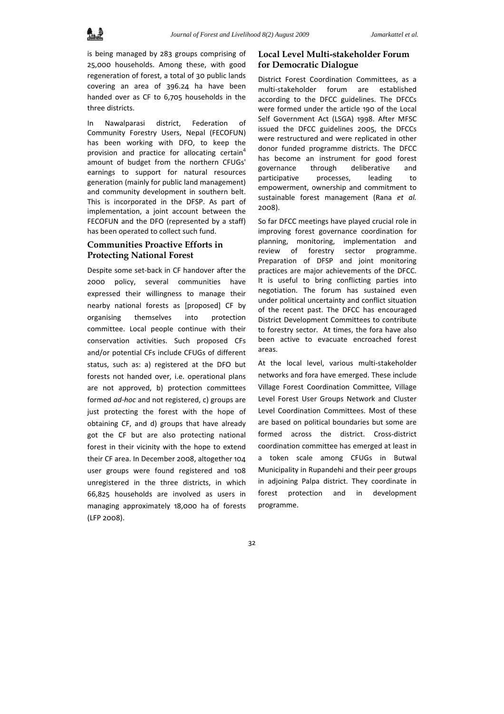

is being managed by 283 groups comprising of 25,000 households. Among these, with good regeneration of forest, a total of 30 public lands covering an area of 396.24 ha have been handed over as CF to 6,705 households in the three districts.

In Nawalparasi district, Federation of Community Forestry Users, Nepal (FECOFUN) has been working with DFO, to keep the provision and practice for allocating certain<sup>4</sup> amount of budget from the northern CFUGs' earnings to support for natural resources generation (mainly for public land management) and community development in southern belt. This is incorporated in the DFSP. As part of implementation, a joint account between the FECOFUN and the DFO (represented by a staff) has been operated to collect such fund.

# **Communities Proactive Efforts in Protecting National Forest**

Despite some set‐back in CF handover after the 2000 policy, several communities have expressed their willingness to manage their nearby national forests as [proposed] CF by organising themselves into protection committee. Local people continue with their conservation activities. Such proposed CFs and/or potential CFs include CFUGs of different status, such as: a) registered at the DFO but forests not handed over, i.e. operational plans are not approved, b) protection committees formed *ad‐hoc* and not registered, c) groups are just protecting the forest with the hope of obtaining CF, and d) groups that have already got the CF but are also protecting national forest in their vicinity with the hope to extend their CF area. In December 2008, altogether 104 user groups were found registered and 108 unregistered in the three districts, in which 66,825 households are involved as users in managing approximately 18,000 ha of forests (LFP 2008).

# **Local Level Multi-stakeholder Forum for Democratic Dialogue**

District Forest Coordination Committees, as a multi‐stakeholder forum are established according to the DFCC guidelines. The DFCCs were formed under the article 190 of the Local Self Government Act (LSGA) 1998. After MFSC issued the DFCC guidelines 2005, the DFCCs were restructured and were replicated in other donor funded programme districts. The DFCC has become an instrument for good forest governance through deliberative and participative processes, leading to empowerment, ownership and commitment to sustainable forest management (Rana *et al.* 2008).

So far DFCC meetings have played crucial role in improving forest governance coordination for planning, monitoring, implementation and review of forestry sector programme. Preparation of DFSP and joint monitoring practices are major achievements of the DFCC. It is useful to bring conflicting parties into negotiation. The forum has sustained even under political uncertainty and conflict situation of the recent past. The DFCC has encouraged District Development Committees to contribute to forestry sector. At times, the fora have also been active to evacuate encroached forest areas.

At the local level, various multi‐stakeholder networks and fora have emerged. These include Village Forest Coordination Committee, Village Level Forest User Groups Network and Cluster Level Coordination Committees. Most of these are based on political boundaries but some are formed across the district. Cross-district coordination committee has emerged at least in a token scale among CFUGs in Butwal Municipality in Rupandehi and their peer groups in adjoining Palpa district. They coordinate in forest protection and in development programme.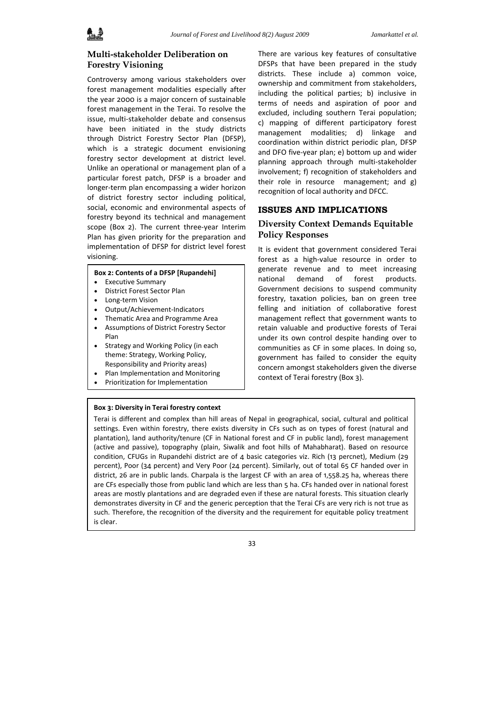# **Multi-stakeholder Deliberation on Forestry Visioning**

Controversy among various stakeholders over forest management modalities especially after the year 2000 is a major concern of sustainable forest management in the Terai. To resolve the issue, multi‐stakeholder debate and consensus have been initiated in the study districts through District Forestry Sector Plan (DFSP), which is a strategic document envisioning forestry sector development at district level. Unlike an operational or management plan of a particular forest patch, DFSP is a broader and longer‐term plan encompassing a wider horizon of district forestry sector including political, social, economic and environmental aspects of forestry beyond its technical and management scope (Box 2). The current three-year Interim Plan has given priority for the preparation and implementation of DFSP for district level forest visioning.

### **Box 2: Contents of a DFSP [Rupandehi]**

- Executive Summary
- District Forest Sector Plan
- Long‐term Vision
- Output/Achievement‐Indicators
- Thematic Area and Programme Area
- Assumptions of District Forestry Sector Plan
- Strategy and Working Policy (in each theme: Strategy, Working Policy, Responsibility and Priority areas)
- Plan Implementation and Monitoring
- Prioritization for Implementation

#### **Box 3: Diversity in Terai forestry context**

## There are various key features of consultative DFSPs that have been prepared in the study districts. These include a) common voice, ownership and commitment from stakeholders, including the political parties; b) inclusive in terms of needs and aspiration of poor and excluded, including southern Terai population; c) mapping of different participatory forest management modalities; d) linkage and coordination within district periodic plan, DFSP and DFO five‐year plan; e) bottom up and wider planning approach through multi‐stakeholder involvement; f) recognition of stakeholders and their role in resource management; and  $g$ ) recognition of local authority and DFCC.

#### **ISSUES AND IMPLICATIONS**

## **Diversity Context Demands Equitable Policy Responses**

It is evident that government considered Terai forest as a high-value resource in order to generate revenue and to meet increasing national demand of forest products. Government decisions to suspend community forestry, taxation policies, ban on green tree felling and initiation of collaborative forest management reflect that government wants to retain valuable and productive forests of Terai under its own control despite handing over to communities as CF in some places. In doing so, government has failed to consider the equity concern amongst stakeholders given the diverse context of Terai forestry (Box 3).

Terai is different and complex than hill areas of Nepal in geographical, social, cultural and political settings. Even within forestry, there exists diversity in CFs such as on types of forest (natural and plantation), land authority/tenure (CF in National forest and CF in public land), forest management (active and passive), topography (plain, Siwalik and foot hills of Mahabharat). Based on resource condition, CFUGs in Rupandehi district are of 4 basic categories viz. Rich (13 percnet), Medium (29 percent), Poor (34 percent) and Very Poor (24 percent). Similarly, out of total 65 CF handed over in district, 26 are in public lands. Charpala is the largest CF with an area of 1,558.25 ha, whereas there are CFs especially those from public land which are less than 5 ha. CFs handed over in national forest areas are mostly plantations and are degraded even if these are natural forests. This situation clearly demonstrates diversity in CF and the generic perception that the Terai CFs are very rich is not true as such. Therefore, the recognition of the diversity and the requirement for equitable policy treatment is clear.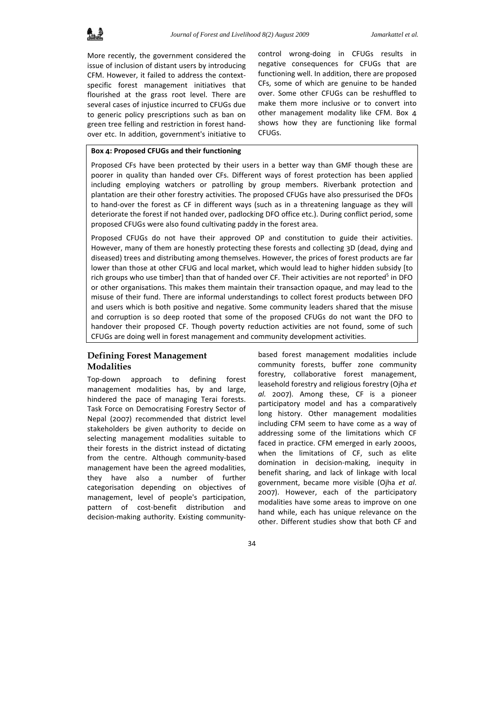More recently, the government considered the issue of inclusion of distant users by introducing CFM. However, it failed to address the context‐ specific forest management initiatives that flourished at the grass root level. There are several cases of injustice incurred to CFUGs due to generic policy prescriptions such as ban on green tree felling and restriction in forest hand‐ over etc. In addition, government's initiative to

control wrong‐doing in CFUGs results in negative consequences for CFUGs that are functioning well. In addition, there are proposed CFs, some of which are genuine to be handed over. Some other CFUGs can be reshuffled to make them more inclusive or to convert into other management modality like CFM. Box 4 shows how they are functioning like formal CFUGs.

#### **Box 4: Proposed CFUGs and their functioning**

Proposed CFs have been protected by their users in a better way than GMF though these are poorer in quality than handed over CFs. Different ways of forest protection has been applied including employing watchers or patrolling by group members. Riverbank protection and plantation are their other forestry activities. The proposed CFUGs have also pressurised the DFOs to hand‐over the forest as CF in different ways (such as in a threatening language as they will deteriorate the forest if not handed over, padlocking DFO office etc.). During conflict period, some proposed CFUGs were also found cultivating paddy in the forest area.

Proposed CFUGs do not have their approved OP and constitution to guide their activities. However, many of them are honestly protecting these forests and collecting 3D (dead, dying and diseased) trees and distributing among themselves. However, the prices of forest products are far lower than those at other CFUG and local market, which would lead to higher hidden subsidy [to rich groups who use timber] than that of handed over CF. Their activities are not reported<sup>5</sup> in DFO or other organisations. This makes them maintain their transaction opaque, and may lead to the misuse of their fund. There are informal understandings to collect forest products between DFO and users which is both positive and negative. Some community leaders shared that the misuse and corruption is so deep rooted that some of the proposed CFUGs do not want the DFO to handover their proposed CF. Though poverty reduction activities are not found, some of such CFUGs are doing well in forest management and community development activities.

# **Defining Forest Management Modalities**

Top‐down approach to defining forest management modalities has, by and large, hindered the pace of managing Terai forests. Task Force on Democratising Forestry Sector of Nepal (2007) recommended that district level stakeholders be given authority to decide on selecting management modalities suitable to their forests in the district instead of dictating from the centre. Although community‐based management have been the agreed modalities, they have also a number of further categorisation depending on objectives of management, level of people's participation, pattern of cost‐benefit distribution and decision‐making authority. Existing community‐

based forest management modalities include community forests, buffer zone community forestry, collaborative forest management, leasehold forestry and religious forestry (Ojha *et al.* 2007). Among these, CF is a pioneer participatory model and has a comparatively long history. Other management modalities including CFM seem to have come as a way of addressing some of the limitations which CF faced in practice. CFM emerged in early 2000s, when the limitations of CF, such as elite domination in decision‐making, inequity in benefit sharing, and lack of linkage with local government, became more visible (Ojha *et al*. 2007). However, each of the participatory modalities have some areas to improve on one hand while, each has unique relevance on the other. Different studies show that both CF and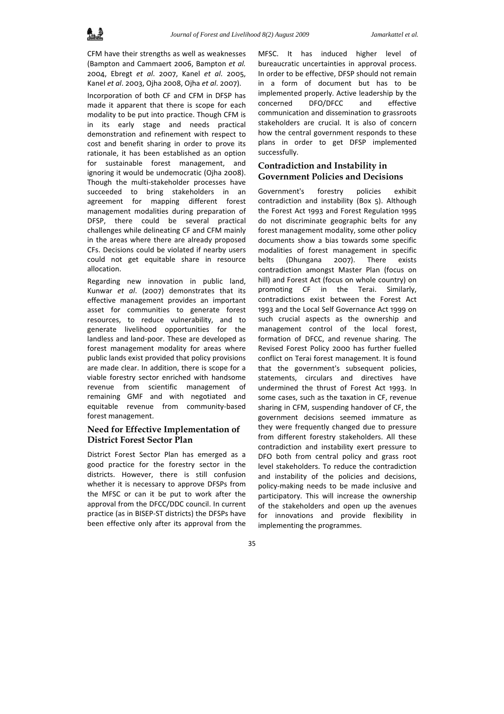CFM have their strengths as well as weaknesses (Bampton and Cammaert 2006, Bampton *et al.* 2004, Ebregt *et al*. 2007, Kanel *et al*. 2005, Kanel *et al*. 2003, Ojha 2008, Ojha *et al*. 2007).

Incorporation of both CF and CFM in DFSP has made it apparent that there is scope for each modality to be put into practice. Though CFM is in its early stage and needs practical demonstration and refinement with respect to cost and benefit sharing in order to prove its rationale, it has been established as an option for sustainable forest management, and ignoring it would be undemocratic (Ojha 2008). Though the multi‐stakeholder processes have succeeded to bring stakeholders in an agreement for mapping different forest management modalities during preparation of DFSP, there could be several practical challenges while delineating CF and CFM mainly in the areas where there are already proposed CFs. Decisions could be violated if nearby users could not get equitable share in resource allocation.

Regarding new innovation in public land, Kunwar *et al*. (2007) demonstrates that its effective management provides an important asset for communities to generate forest resources, to reduce vulnerability, and to generate livelihood opportunities for the landless and land‐poor. These are developed as forest management modality for areas where public lands exist provided that policy provisions are made clear. In addition, there is scope for a viable forestry sector enriched with handsome revenue from scientific management of remaining GMF and with negotiated and equitable revenue from community‐based forest management.

## **Need for Effective Implementation of District Forest Sector Plan**

District Forest Sector Plan has emerged as a good practice for the forestry sector in the districts. However, there is still confusion whether it is necessary to approve DFSPs from the MFSC or can it be put to work after the approval from the DFCC/DDC council. In current practice (as in BISEP‐ST districts) the DFSPs have been effective only after its approval from the

MFSC. It has induced higher level of bureaucratic uncertainties in approval process. In order to be effective, DFSP should not remain in a form of document but has to be implemented properly. Active leadership by the concerned DFO/DFCC and effective communication and dissemination to grassroots stakeholders are crucial. It is also of concern how the central government responds to these plans in order to get DFSP implemented successfully.

# **Contradiction and Instability in Government Policies and Decisions**

Government's forestry policies exhibit contradiction and instability (Box 5). Although the Forest Act 1993 and Forest Regulation 1995 do not discriminate geographic belts for any forest management modality, some other policy documents show a bias towards some specific modalities of forest management in specific belts (Dhungana 2007). There exists contradiction amongst Master Plan (focus on hill) and Forest Act (focus on whole country) on promoting CF in the Terai. Similarly, contradictions exist between the Forest Act 1993 and the Local Self Governance Act 1999 on such crucial aspects as the ownership and management control of the local forest, formation of DFCC, and revenue sharing. The Revised Forest Policy 2000 has further fuelled conflict on Terai forest management. It is found that the government's subsequent policies, statements, circulars and directives have undermined the thrust of Forest Act 1993. In some cases, such as the taxation in CF, revenue sharing in CFM, suspending handover of CF, the government decisions seemed immature as they were frequently changed due to pressure from different forestry stakeholders. All these contradiction and instability exert pressure to DFO both from central policy and grass root level stakeholders. To reduce the contradiction and instability of the policies and decisions, policy‐making needs to be made inclusive and participatory. This will increase the ownership of the stakeholders and open up the avenues for innovations and provide flexibility in implementing the programmes.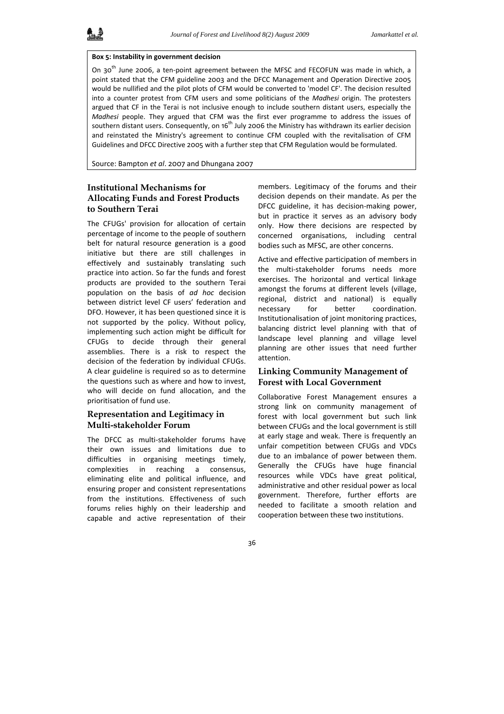#### **Box 5: Instability in government decision**

On 30<sup>th</sup> June 2006, a ten-point agreement between the MFSC and FECOFUN was made in which, a point stated that the CFM guideline 2003 and the DFCC Management and Operation Directive 2005 would be nullified and the pilot plots of CFM would be converted to 'model CF'. The decision resulted into a counter protest from CFM users and some politicians of the *Madhesi* origin. The protesters argued that CF in the Terai is not inclusive enough to include southern distant users, especially the *Madhesi* people. They argued that CFM was the first ever programme to address the issues of southern distant users. Consequently, on 16<sup>th</sup> July 2006 the Ministry has withdrawn its earlier decision and reinstated the Ministry's agreement to continue CFM coupled with the revitalisation of CFM Guidelines and DFCC Directive 2005 with a further step that CFM Regulation would be formulated.

Source: Bampton *et al*. 2007 and Dhungana 2007

# **Institutional Mechanisms for Allocating Funds and Forest Products to Southern Terai**

The CFUGs' provision for allocation of certain percentage of income to the people of southern belt for natural resource generation is a good initiative but there are still challenges in effectively and sustainably translating such practice into action. So far the funds and forest products are provided to the southern Terai population on the basis of *ad hoc* decision between district level CF users' federation and DFO. However, it has been questioned since it is not supported by the policy. Without policy, implementing such action might be difficult for CFUGs to decide through their general assemblies. There is a risk to respect the decision of the federation by individual CFUGs. A clear guideline is required so as to determine the questions such as where and how to invest, who will decide on fund allocation, and the prioritisation of fund use.

## **Representation and Legitimacy in Multi-stakeholder Forum**

The DFCC as multi‐stakeholder forums have their own issues and limitations due to difficulties in organising meetings timely, complexities in reaching a consensus, eliminating elite and political influence, and ensuring proper and consistent representations from the institutions. Effectiveness of such forums relies highly on their leadership and capable and active representation of their

members. Legitimacy of the forums and their decision depends on their mandate. As per the DFCC guideline, it has decision‐making power, but in practice it serves as an advisory body only. How there decisions are respected by concerned organisations, including central bodies such as MFSC, are other concerns.

Active and effective participation of members in the multi‐stakeholder forums needs more exercises. The horizontal and vertical linkage amongst the forums at different levels (village, regional, district and national) is equally necessary for better coordination. Institutionalisation of joint monitoring practices, balancing district level planning with that of landscape level planning and village level planning are other issues that need further attention.

## **Linking Community Management of Forest with Local Government**

Collaborative Forest Management ensures a strong link on community management of forest with local government but such link between CFUGs and the local government is still at early stage and weak. There is frequently an unfair competition between CFUGs and VDCs due to an imbalance of power between them. Generally the CFUGs have huge financial resources while VDCs have great political, administrative and other residual power as local government. Therefore, further efforts are needed to facilitate a smooth relation and cooperation between these two institutions.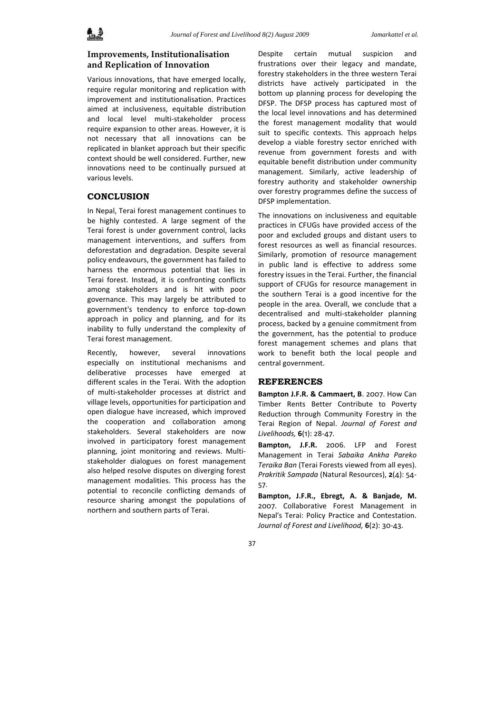## **Improvements, Institutionalisation and Replication of Innovation**

Various innovations, that have emerged locally, require regular monitoring and replication with improvement and institutionalisation. Practices aimed at inclusiveness, equitable distribution and local level multi‐stakeholder process require expansion to other areas. However, it is not necessary that all innovations can be replicated in blanket approach but their specific context should be well considered. Further, new innovations need to be continually pursued at various levels.

## **CONCLUSION**

In Nepal, Terai forest management continues to be highly contested. A large segment of the Terai forest is under government control, lacks management interventions, and suffers from deforestation and degradation. Despite several policy endeavours, the government has failed to harness the enormous potential that lies in Terai forest. Instead, it is confronting conflicts among stakeholders and is hit with poor governance. This may largely be attributed to government's tendency to enforce top‐down approach in policy and planning, and for its inability to fully understand the complexity of Terai forest management.

Recently, however, several innovations especially on institutional mechanisms and deliberative processes have emerged at different scales in the Terai. With the adoption of multi‐stakeholder processes at district and village levels, opportunities for participation and open dialogue have increased, which improved the cooperation and collaboration among stakeholders. Several stakeholders are now involved in participatory forest management planning, joint monitoring and reviews. Multi‐ stakeholder dialogues on forest management also helped resolve disputes on diverging forest management modalities. This process has the potential to reconcile conflicting demands of resource sharing amongst the populations of northern and southern parts of Terai.

Despite certain mutual suspicion and frustrations over their legacy and mandate, forestry stakeholders in the three western Terai districts have actively participated in the bottom up planning process for developing the DFSP. The DFSP process has captured most of the local level innovations and has determined the forest management modality that would suit to specific contexts. This approach helps develop a viable forestry sector enriched with revenue from government forests and with equitable benefit distribution under community management. Similarly, active leadership of forestry authority and stakeholder ownership over forestry programmes define the success of DFSP implementation.

The innovations on inclusiveness and equitable practices in CFUGs have provided access of the poor and excluded groups and distant users to forest resources as well as financial resources. Similarly, promotion of resource management in public land is effective to address some forestry issues in the Terai. Further, the financial support of CFUGs for resource management in the southern Terai is a good incentive for the people in the area. Overall, we conclude that a decentralised and multi‐stakeholder planning process, backed by a genuine commitment from the government, has the potential to produce forest management schemes and plans that work to benefit both the local people and central government.

#### **REFERENCES**

**Bampton J.F.R. & Cammaert, B**. 2007. How Can Timber Rents Better Contribute to Poverty Reduction through Community Forestry in the Terai Region of Nepal. *Journal of Forest and Livelihoods,* **6**(1): 28‐47.

**Bampton, J.F.R.** 2006. LFP and Forest Management in Terai *Sabaika Ankha Pareko Teraika Ban* (Terai Forests viewed from all eyes). *Prakritik Sampada* (Natural Resources), **2**(4): 54‐ 57.

**Bampton, J.F.R., Ebregt, A. & Banjade, M.** 2007. Collaborative Forest Management in Nepal's Terai: Policy Practice and Contestation. *Journal of Forest and Livelihood,* **6**(2): 30‐43.